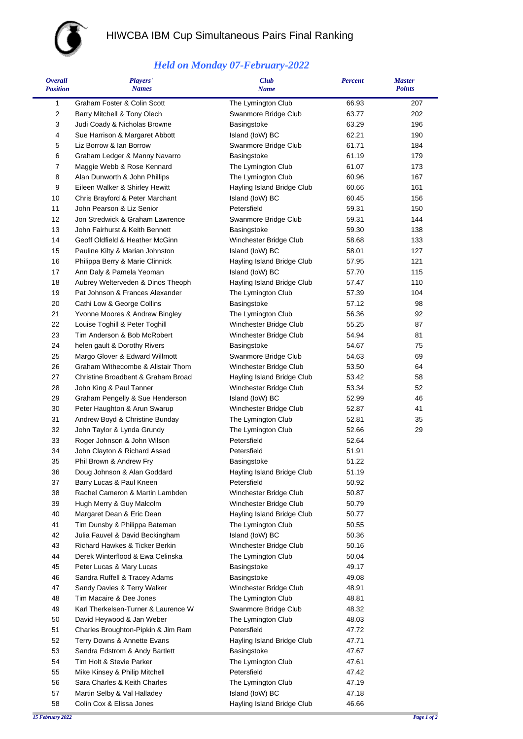

## HIWCBA IBM Cup Simultaneous Pairs Final Ranking

## *Held on Monday 07-February-2022*

| <i><b>Overall</b></i><br><b>Position</b> | <b>Players'</b><br><b>Names</b>                                  | <b>Club</b><br><b>Name</b>                   | <b>Percent</b> | <b>Master</b><br><b>Points</b> |
|------------------------------------------|------------------------------------------------------------------|----------------------------------------------|----------------|--------------------------------|
| 1                                        | Graham Foster & Colin Scott                                      | The Lymington Club                           | 66.93          | 207                            |
| $\boldsymbol{2}$                         | Barry Mitchell & Tony Olech                                      | Swanmore Bridge Club                         | 63.77          | 202                            |
| 3                                        | Judi Coady & Nicholas Browne                                     | Basingstoke                                  | 63.29          | 196                            |
| $\overline{\mathbf{4}}$                  | Sue Harrison & Margaret Abbott                                   | Island (IoW) BC                              | 62.21          | 190                            |
| 5                                        | Liz Borrow & Ian Borrow                                          | Swanmore Bridge Club                         | 61.71          | 184                            |
| 6                                        | Graham Ledger & Manny Navarro                                    | Basingstoke                                  | 61.19          | 179                            |
| 7                                        | Maggie Webb & Rose Kennard                                       | The Lymington Club                           | 61.07          | 173                            |
| 8                                        | Alan Dunworth & John Phillips                                    | The Lymington Club                           | 60.96          | 167                            |
| 9                                        | Eileen Walker & Shirley Hewitt                                   | Hayling Island Bridge Club                   | 60.66          | 161                            |
| 10                                       | Chris Brayford & Peter Marchant                                  | Island (IoW) BC                              | 60.45          | 156                            |
| 11                                       | John Pearson & Liz Senior                                        | Petersfield                                  | 59.31          | 150                            |
| 12                                       | Jon Stredwick & Graham Lawrence                                  | Swanmore Bridge Club                         | 59.31          | 144                            |
| 13                                       | John Fairhurst & Keith Bennett                                   | Basingstoke                                  | 59.30          | 138                            |
| 14                                       | Geoff Oldfield & Heather McGinn                                  | Winchester Bridge Club                       | 58.68          | 133                            |
| 15                                       | Pauline Kilty & Marian Johnston                                  | Island (IoW) BC                              | 58.01          | 127                            |
| 16                                       | Philippa Berry & Marie Clinnick                                  | Hayling Island Bridge Club                   | 57.95          | 121                            |
| 17                                       | Ann Daly & Pamela Yeoman                                         | Island (IoW) BC                              | 57.70          | 115                            |
| 18                                       | Aubrey Welterveden & Dinos Theoph                                | Hayling Island Bridge Club                   | 57.47          | 110                            |
| 19                                       | Pat Johnson & Frances Alexander                                  | The Lymington Club                           | 57.39          | 104                            |
| 20<br>21                                 | Cathi Low & George Collins<br>Yvonne Moores & Andrew Bingley     | Basingstoke                                  | 57.12<br>56.36 | 98<br>92                       |
| 22                                       | Louise Toghill & Peter Toghill                                   | The Lymington Club<br>Winchester Bridge Club | 55.25          | 87                             |
| 23                                       | Tim Anderson & Bob McRobert                                      | Winchester Bridge Club                       | 54.94          | 81                             |
| 24                                       | helen gault & Dorothy Rivers                                     | Basingstoke                                  | 54.67          | 75                             |
| 25                                       | Margo Glover & Edward Willmott                                   | Swanmore Bridge Club                         | 54.63          | 69                             |
| 26                                       | Graham Withecombe & Alistair Thom                                | Winchester Bridge Club                       | 53.50          | 64                             |
| 27                                       | Christine Broadbent & Graham Broad                               | Hayling Island Bridge Club                   | 53.42          | 58                             |
| 28                                       | John King & Paul Tanner                                          | Winchester Bridge Club                       | 53.34          | 52                             |
| 29                                       | Graham Pengelly & Sue Henderson                                  | Island (IoW) BC                              | 52.99          | 46                             |
| 30                                       | Peter Haughton & Arun Swarup                                     | Winchester Bridge Club                       | 52.87          | 41                             |
| 31                                       | Andrew Boyd & Christine Bunday                                   | The Lymington Club                           | 52.81          | 35                             |
| 32                                       | John Taylor & Lynda Grundy                                       | The Lymington Club                           | 52.66          | 29                             |
| 33                                       | Roger Johnson & John Wilson                                      | Petersfield                                  | 52.64          |                                |
| 34                                       | John Clayton & Richard Assad                                     | Petersfield                                  | 51.91          |                                |
| 35                                       | Phil Brown & Andrew Fry                                          | Basingstoke                                  | 51.22          |                                |
| 36                                       | Doug Johnson & Alan Goddard                                      | Hayling Island Bridge Club                   | 51.19          |                                |
| 37                                       | Barry Lucas & Paul Kneen                                         | Petersfield                                  | 50.92          |                                |
| 38                                       | Rachel Cameron & Martin Lambden                                  | Winchester Bridge Club                       | 50.87          |                                |
| 39                                       | Hugh Merry & Guy Malcolm                                         | Winchester Bridge Club                       | 50.79          |                                |
| 40                                       | Margaret Dean & Eric Dean                                        | Hayling Island Bridge Club                   | 50.77          |                                |
| 41                                       | Tim Dunsby & Philippa Bateman                                    | The Lymington Club                           | 50.55          |                                |
| 42                                       | Julia Fauvel & David Beckingham                                  | Island (IoW) BC                              | 50.36          |                                |
| 43                                       | Richard Hawkes & Ticker Berkin                                   | Winchester Bridge Club                       | 50.16          |                                |
| 44                                       | Derek Winterflood & Ewa Celinska                                 | The Lymington Club                           | 50.04          |                                |
| 45                                       | Peter Lucas & Mary Lucas                                         | Basingstoke                                  | 49.17          |                                |
| 46                                       | Sandra Ruffell & Tracey Adams                                    | Basingstoke                                  | 49.08          |                                |
| 47                                       | Sandy Davies & Terry Walker                                      | Winchester Bridge Club                       | 48.91          |                                |
| 48                                       | Tim Macaire & Dee Jones                                          | The Lymington Club                           | 48.81          |                                |
| 49<br>50                                 | Karl Therkelsen-Turner & Laurence W<br>David Heywood & Jan Weber | Swanmore Bridge Club<br>The Lymington Club   | 48.32<br>48.03 |                                |
| 51                                       | Charles Broughton-Pipkin & Jim Ram                               | Petersfield                                  | 47.72          |                                |
| 52                                       | Terry Downs & Annette Evans                                      | Hayling Island Bridge Club                   | 47.71          |                                |
| 53                                       | Sandra Edstrom & Andy Bartlett                                   | Basingstoke                                  | 47.67          |                                |
| 54                                       | Tim Holt & Stevie Parker                                         | The Lymington Club                           | 47.61          |                                |
| 55                                       | Mike Kinsey & Philip Mitchell                                    | Petersfield                                  | 47.42          |                                |
| 56                                       | Sara Charles & Keith Charles                                     | The Lymington Club                           | 47.19          |                                |
| 57                                       | Martin Selby & Val Halladey                                      | Island (IoW) BC                              | 47.18          |                                |
| 58                                       | Colin Cox & Elissa Jones                                         | Hayling Island Bridge Club                   | 46.66          |                                |